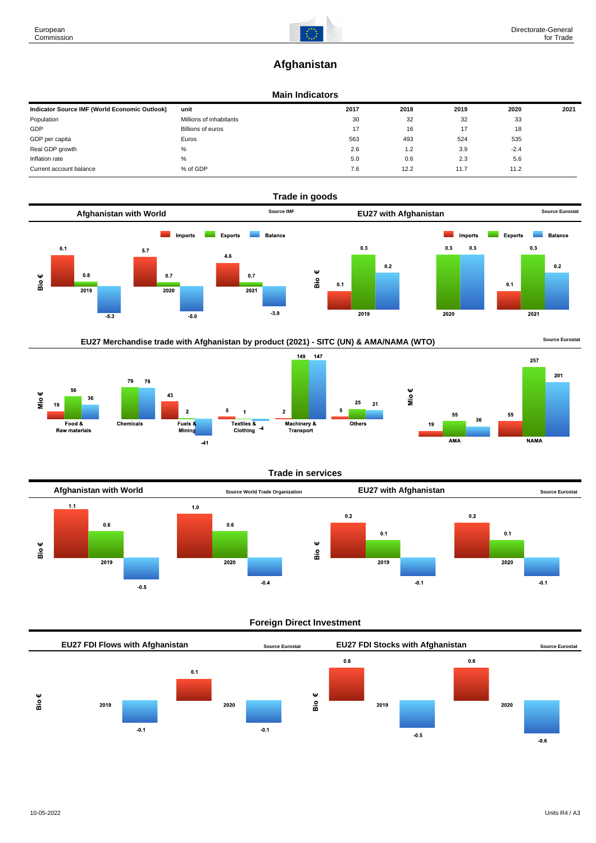# **Afghanistan**

#### **Main Indicators**

| Indicator Source IMF (World Economic Outlook) | unit                    | 2017 | 2018 | 2019 | 2020   | 2021 |
|-----------------------------------------------|-------------------------|------|------|------|--------|------|
| Population                                    | Millions of inhabitants | 30   | 32   | 32   | 33     |      |
| GDP                                           | Billions of euros       | 17   | 16   | 17   | 18     |      |
| GDP per capita                                | Euros                   | 563  | 493  | 524  | 535    |      |
| Real GDP growth                               | %                       | 2.6  | 1.2  | 3.9  | $-2.4$ |      |
| Inflation rate                                | %                       | 5.0  | 0.6  | 2.3  | 5.6    |      |
| Current account balance                       | % of GDP                | 7.6  | 12.2 | 11.7 | 11.2   |      |









#### **Trade in services**



#### **Foreign Direct Investment**